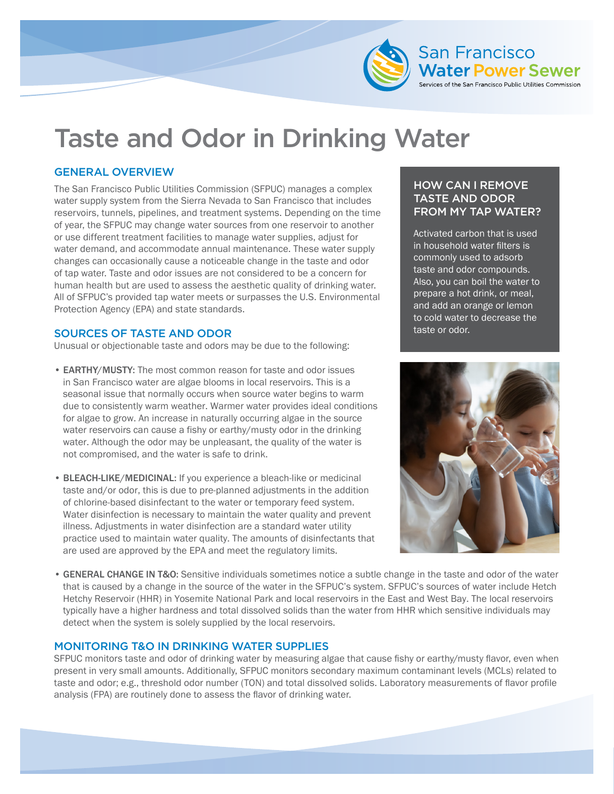

# Taste and Odor in Drinking Water

## GENERAL OVERVIEW

The San Francisco Public Utilities Commission (SFPUC) manages a complex water supply system from the Sierra Nevada to San Francisco that includes reservoirs, tunnels, pipelines, and treatment systems. Depending on the time of year, the SFPUC may change water sources from one reservoir to another or use different treatment facilities to manage water supplies, adjust for water demand, and accommodate annual maintenance. These water supply changes can occasionally cause a noticeable change in the taste and odor of tap water. Taste and odor issues are not considered to be a concern for human health but are used to assess the aesthetic quality of drinking water. All of SFPUC's provided tap water meets or surpasses the U.S. Environmental Protection Agency (EPA) and state standards.

#### SOURCES OF TASTE AND ODOR

Unusual or objectionable taste and odors may be due to the following:

- EARTHY/MUSTY: The most common reason for taste and odor issues in San Francisco water are algae blooms in local reservoirs. This is a seasonal issue that normally occurs when source water begins to warm due to consistently warm weather. Warmer water provides ideal conditions for algae to grow. An increase in naturally occurring algae in the source water reservoirs can cause a fishy or earthy/musty odor in the drinking water. Although the odor may be unpleasant, the quality of the water is not compromised, and the water is safe to drink.
- BLEACH-LIKE/MEDICINAL: If you experience a bleach-like or medicinal taste and/or odor, this is due to pre-planned adjustments in the addition of chlorine-based disinfectant to the water or temporary feed system. Water disinfection is necessary to maintain the water quality and prevent illness. Adjustments in water disinfection are a standard water utility practice used to maintain water quality. The amounts of disinfectants that are used are approved by the EPA and meet the regulatory limits.

### HOW CAN I REMOVE TASTE AND ODOR FROM MY TAP WATER?

Activated carbon that is used in household water filters is commonly used to adsorb taste and odor compounds. Also, you can boil the water to prepare a hot drink, or meal, and add an orange or lemon to cold water to decrease the taste or odor.



• GENERAL CHANGE IN T&O: Sensitive individuals sometimes notice a subtle change in the taste and odor of the water that is caused by a change in the source of the water in the SFPUC's system. SFPUC's sources of water include Hetch Hetchy Reservoir (HHR) in Yosemite National Park and local reservoirs in the East and West Bay. The local reservoirs typically have a higher hardness and total dissolved solids than the water from HHR which sensitive individuals may detect when the system is solely supplied by the local reservoirs.

#### MONITORING T&O IN DRINKING WATER SUPPLIES

SFPUC monitors taste and odor of drinking water by measuring algae that cause fishy or earthy/musty flavor, even when present in very small amounts. Additionally, SFPUC monitors secondary maximum contaminant levels (MCLs) related to taste and odor; e.g., threshold odor number (TON) and total dissolved solids. Laboratory measurements of flavor profile analysis (FPA) are routinely done to assess the flavor of drinking water.